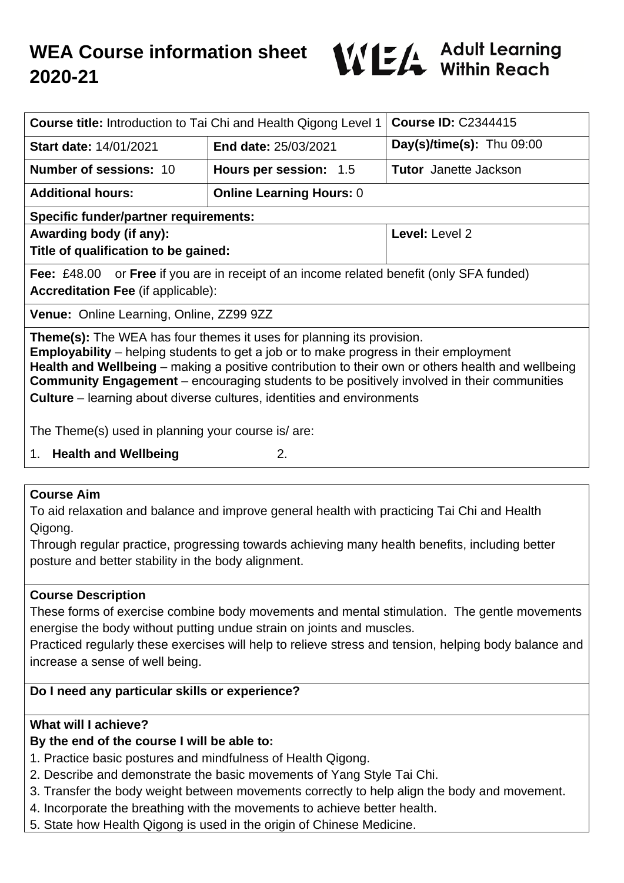

| <b>Course title:</b> Introduction to Tai Chi and Health Qigong Level 1                                                                                                                                                                                                                                                                                                                                                                                           |                                 | <b>Course ID: C2344415</b>   |
|------------------------------------------------------------------------------------------------------------------------------------------------------------------------------------------------------------------------------------------------------------------------------------------------------------------------------------------------------------------------------------------------------------------------------------------------------------------|---------------------------------|------------------------------|
| <b>Start date: 14/01/2021</b>                                                                                                                                                                                                                                                                                                                                                                                                                                    | <b>End date: 25/03/2021</b>     | $Day(s)/time(s)$ : Thu 09:00 |
| <b>Number of sessions: 10</b>                                                                                                                                                                                                                                                                                                                                                                                                                                    | Hours per session: 1.5          | <b>Tutor</b> Janette Jackson |
| <b>Additional hours:</b>                                                                                                                                                                                                                                                                                                                                                                                                                                         | <b>Online Learning Hours: 0</b> |                              |
| <b>Specific funder/partner requirements:</b>                                                                                                                                                                                                                                                                                                                                                                                                                     |                                 |                              |
| Awarding body (if any):                                                                                                                                                                                                                                                                                                                                                                                                                                          |                                 | Level: Level 2               |
| Title of qualification to be gained:                                                                                                                                                                                                                                                                                                                                                                                                                             |                                 |                              |
| <b>Fee:</b> £48.00 or <b>Free</b> if you are in receipt of an income related benefit (only SFA funded)<br><b>Accreditation Fee (if applicable):</b>                                                                                                                                                                                                                                                                                                              |                                 |                              |
| <b>Venue: Online Learning, Online, ZZ99 9ZZ</b>                                                                                                                                                                                                                                                                                                                                                                                                                  |                                 |                              |
| Theme(s): The WEA has four themes it uses for planning its provision.<br><b>Employability</b> – helping students to get a job or to make progress in their employment<br>Health and Wellbeing – making a positive contribution to their own or others health and wellbeing<br><b>Community Engagement</b> – encouraging students to be positively involved in their communities<br><b>Culture</b> – learning about diverse cultures, identities and environments |                                 |                              |
| The Theme(s) used in planning your course is/ are:                                                                                                                                                                                                                                                                                                                                                                                                               |                                 |                              |
| 1. Health and Wellbeing<br>2.                                                                                                                                                                                                                                                                                                                                                                                                                                    |                                 |                              |
|                                                                                                                                                                                                                                                                                                                                                                                                                                                                  |                                 |                              |

### **Course Aim**

To aid relaxation and balance and improve general health with practicing Tai Chi and Health Qigong.

Through regular practice, progressing towards achieving many health benefits, including better posture and better stability in the body alignment.

## **Course Description**

These forms of exercise combine body movements and mental stimulation. The gentle movements energise the body without putting undue strain on joints and muscles.

Practiced regularly these exercises will help to relieve stress and tension, helping body balance and increase a sense of well being.

## **Do I need any particular skills or experience?**

## **What will I achieve?**

## **By the end of the course I will be able to:**

- 1. Practice basic postures and mindfulness of Health Qigong.
- 2. Describe and demonstrate the basic movements of Yang Style Tai Chi.
- 3. Transfer the body weight between movements correctly to help align the body and movement.
- 4. Incorporate the breathing with the movements to achieve better health.
- 5. State how Health Qigong is used in the origin of Chinese Medicine.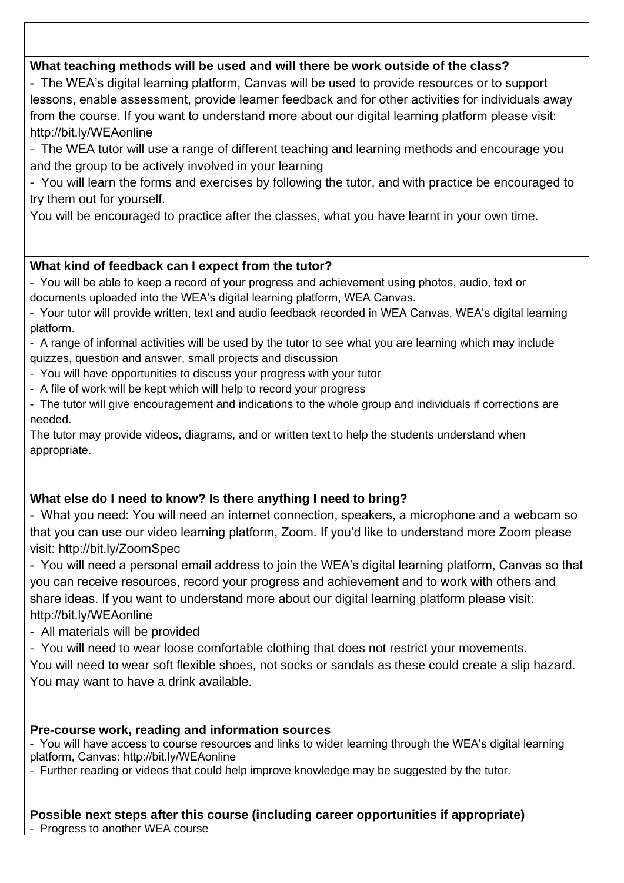## **What teaching methods will be used and will there be work outside of the class?**

- The WEA's digital learning platform, Canvas will be used to provide resources or to support lessons, enable assessment, provide learner feedback and for other activities for individuals away from the course. If you want to understand more about our digital learning platform please visit: http://bit.ly/WEAonline

- The WEA tutor will use a range of different teaching and learning methods and encourage you and the group to be actively involved in your learning

- You will learn the forms and exercises by following the tutor, and with practice be encouraged to try them out for yourself.

You will be encouraged to practice after the classes, what you have learnt in your own time.

# **What kind of feedback can I expect from the tutor?**

- You will be able to keep a record of your progress and achievement using photos, audio, text or documents uploaded into the WEA's digital learning platform, WEA Canvas.

- Your tutor will provide written, text and audio feedback recorded in WEA Canvas, WEA's digital learning platform.

- A range of informal activities will be used by the tutor to see what you are learning which may include quizzes, question and answer, small projects and discussion

- You will have opportunities to discuss your progress with your tutor
- A file of work will be kept which will help to record your progress
- The tutor will give encouragement and indications to the whole group and individuals if corrections are needed.

The tutor may provide videos, diagrams, and or written text to help the students understand when appropriate.

# **What else do I need to know? Is there anything I need to bring?**

- What you need: You will need an internet connection, speakers, a microphone and a webcam so that you can use our video learning platform, Zoom. If you'd like to understand more Zoom please visit: http://bit.ly/ZoomSpec

- You will need a personal email address to join the WEA's digital learning platform, Canvas so that you can receive resources, record your progress and achievement and to work with others and share ideas. If you want to understand more about our digital learning platform please visit: http://bit.ly/WEAonline

- All materials will be provided

- You will need to wear loose comfortable clothing that does not restrict your movements.

You will need to wear soft flexible shoes, not socks or sandals as these could create a slip hazard. You may want to have a drink available.

# **Pre-course work, reading and information sources**

- You will have access to course resources and links to wider learning through the WEA's digital learning platform, Canvas: http://bit.ly/WEAonline

- Further reading or videos that could help improve knowledge may be suggested by the tutor.

**Possible next steps after this course (including career opportunities if appropriate)** - Progress to another WEA course